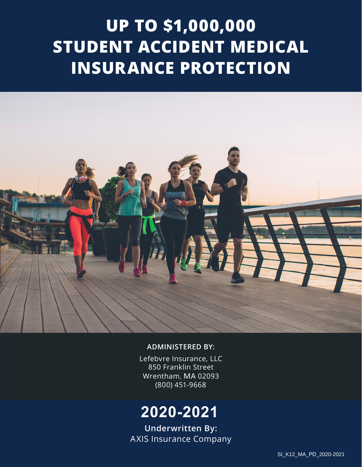# **UP TO \$1,000,000 STUDENT ACCIDENT MEDICAL INSURANCE PROTECTION**



### **ADMINISTERED BY:**

Lefebvre Insurance, LLC 850 Franklin Street Wrentham, MA 02093 (800) 451-9668

## **2020-2021**

**Underwritten By:** AXIS Insurance Company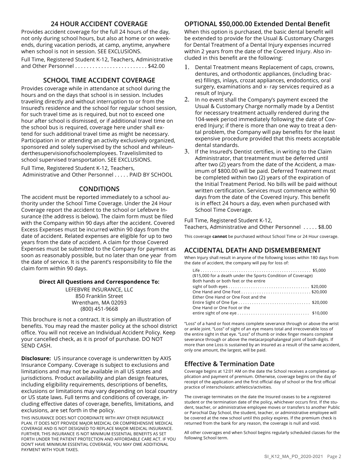#### **24 HOUR ACCIDENT COVERAGE**

Provides accident coverage for the full 24 hours of the day, not only during school hours, but also at home or on weekends, during vacation periods, at camp, anytime, anywhere when school is not in session. SEE EXCLUSIONS.

Full Time, Registered Student K-12, Teachers, Administrative and Other Personnel . . . . . . . . . . . . . . . . . . . . . . . . . \$42.00

#### **SCHOOL TIME ACCIDENT COVERAGE**

Provides coverage while in attendance at school during the hours and on the days that school is in session. Includes traveling directly and without interruption to or from the Insured's residence and the school for regular school session, for such travel time as is required, but not to exceed one hour after school is dismissed, or if additional travel time on the school bus is required, coverage here under shall extend for such additional travel time as might be necessary. Participation in or attending an activity exclusively organized, sponsored and solely supervised by the school and whileunderthesupervisionofschoolemployees. Travelislimited to school supervised transportation. SEE EXCLUSIONS.

Full Time, Registered Student K-12, Teachers, Administrative and Other Personnel . . . . . PAID BY SCHOOL

#### **CONDITIONS**

The accident must be reported immediately to a school authority under the School Time Coverage. Under the 24 Hour Coverage report the accident to the school or Lefebvre Insurance (the address is below). The claim form must be filed with the Company within 90 days after the accident. Covered Excess Expenses must be incurred within 90 days from the date of accident. Related expenses are eligible for up to two years from the date of accident. A claim for those Covered Expenses must be submitted to the Company for payment as soon as reasonably possible, but no later than one year from the date of service. It is the parent's responsibility to file the claim form within 90 days.

#### **Direct All Questions and Correspondence To:**

LEFEBVRE INSURANCE, LLC 850 Franklin Street Wrentham, MA 02093 (800) 451-9668

This brochure is not a contract. It is simply an illustration of benefits. You may read the master policy at the school district office. You will not receive an Individual Accident Policy. Keep your cancelled check, as it is proof of purchase. DO NOT SEND CASH.

**Disclosure:** US insurance coverage is underwritten by AXIS Insurance Company. Coverage is subject to exclusions and limitations and may not be available in all US states and jurisdictions. Product availability and plan design features, including eligibility requirements, descriptions of benefits, exclusions or limitations may vary depending on local country or US state laws. Full terms and conditions of coverage, including effective dates of coverage, benefits, limitations, and exclusions, are set forth in the policy.

THIS INSURANCE DOES NOT COORDINATE WITH ANY OTHER INSURANCE PLAN. IT DOES NOT PROVIDE MAJOR MEDICAL OR COMPREHENSIVE MEDICAL COVERAGE AND IS NOT DESIGNED TO REPLACE MAJOR MEDICAL INSURANCE. FURTHER, THIS INSURANCE IS NOT MINIMUM ESSENTIAL BENEFITS AS SET FORTH UNDER THE PATIENT PROTECTION AND AFFORDABLE CARE ACT. IF YOU DON'T HAVE MINIMUM ESSENTIAL COVERAGE, YOU MAY OWE ADDITIONAL PAYMENT WITH YOUR TAXES.

#### **OPTIONAL \$50,000.00 Extended Dental Benefit**

When this option is purchased, the basic dental benefit will be extended to provide for the Usual & Customary Charges for Dental Treatment of a Dental Injury expenses incurred within 2 years from the date of the Covered Injury. Also included in this benefit are the following:

- 1. Dental Treatment means Replacement of caps, crowns, dentures, and orthodontic appliances, (including braces) fillings, inlays, crozat appliances, endodontics, oral surgery, examinations and x- ray services required as a result of Injury.
- 2. In no event shall the Company's payment exceed the Usual & Customary Charge normally made by a Dentist for necessary treatment actually rendered during the 104-week period immediately following the date of Covered Injury; if there is more than one way to treat a dental problem, the Company will pay benefits for the least expensive procedure provided that this meets acceptable dental standards.
- 3. If the Insured's Dentist certifies, in writing to the Claim Administrator, that treatment must be deferred until after two (2) years from the date of the Accident, a maximum of \$800.00 will be paid. Deferred Treatment must be completed within two (2) years of the expiration of the Initial Treatment Period. No bills will be paid without written certification. Services must commence within 90 days from the date of the Covered Injury. This benefit is in effect 24 hours a day, even when purchased with School Time Coverage.

Full Time, Registered Student K-12,

Teachers, Administrative and Other Personnel . . . . . \$8.00

This coverage **cannot** be purchased without School Time or 24 Hour coverage.

#### **ACCIDENTAL DEATH AND DISMEMBERMENT**

When Injury shall result in anyone of the following losses within 180 days from the date of accident, the company will pay for loss of:

| (\$15,000 for a death under the Sports Condition of Coverage)<br>Both hands or both feet or the entire |  |
|--------------------------------------------------------------------------------------------------------|--|
|                                                                                                        |  |
|                                                                                                        |  |
| Either One Hand or One Foot and the                                                                    |  |
|                                                                                                        |  |
| One Hand or One Foot or the                                                                            |  |
|                                                                                                        |  |

"Loss" of a hand or foot means complete severance through or above the wrist or ankle joint. "Loss" of sight of an eye means total and irrecoverable loss of the entire sight in that eye. "Loss" of thumb or index finger means complete severance through or above the metacarpophalangeal joint of both digits. If more than one Loss is sustained by an Insured as a result of the same accident, only one amount, the largest, will be paid.

#### **Effective & Termination Date**

Coverage begins at 12:01 AM on the date the School receives a completed application and payment of premium. Otherwise, coverage begins on the day of receipt of the application and the first official day of school or the first official practice of interscholastic athletics/activities.

The coverage terminates on the date the Insured ceases to be a registered student or the termination date of the policy, whichever occurs first. If the student, teacher, or administrative employee moves or transfers to another Public or Parochial Day School, the student, teacher, or administrative employee will be covered at the new school until this policy expires. If the premium check is returned from the bank for any reason, the coverage is null and void.

All other coverages end when School begins regularly scheduled classes for the following School term.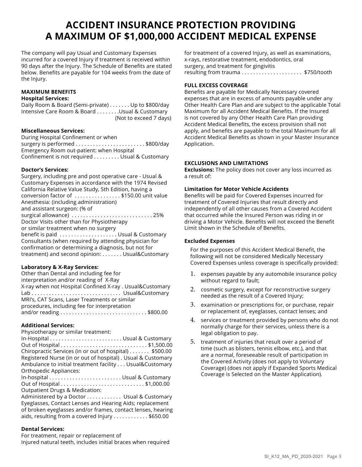### **ACCIDENT INSURANCE PROTECTION PROVIDING A MAXIMUM OF \$1,000,000 ACCIDENT MEDICAL EXPENSE**

The company will pay Usual and Customary Expenses incurred for a covered Injury if treatment is received within 90 days after the Injury. The Schedule of Benefits are stated below. Benefits are payable for 104 weeks from the date of the Injury.

#### **MAXIMUM BENEFITS Hospital Services:**

Daily Room & Board (Semi-private) . . . . . . . Up to \$800/day Intensive Care Room & Board . . . . . . . . Usual & Customary (Not to exceed 7 days)

#### **Miscellaneous Services:**

During Hospital Confinement or when surgery is performed . . . . . . . . . . . . . . . . . . . . . . . . \$800/day Emergency Room out-patient: when Hospital Confinement is not required . . . . . . . . . Usual & Customary

#### **Doctor's Services:**

Surgery, including pre and post operative care - Usual & Customary Expenses in accordance with the 1974 Revised California Relative Value Study, 5th Edition, having a conversion factor of . . . . . . . . . . . . . . . . \$150.00 unit value Anesthesia: (including administration) and assistant surgeon: (% of surgical allowance) . . . . . . . . . . . . . . . . . . . . . . . . . . . . 25% Doctor Visits other than for Physiotherapy or similar treatment when no surgery benefit is paid . . . . . . . . . . . . . . . . . . . . Usual & Customary Consultants (when required by attending physician for confirmation or determining a diagnosis, but not for treatment) and second opinion: . . . . . . . Usual&Customary

#### **Laboratory & X-Ray Services:**

| Other than Dental and including fee for                  |
|----------------------------------------------------------|
| interpretation and/or reading of X-Ray                   |
| X-ray when not Hospital Confined X-ray . Usual&Customary |
| Lab  Usual&Customary                                     |
| MRI's, CAT Scans, Laser Treatments or similar            |
| procedures, including fee for interpretation             |
|                                                          |

#### **Additional Services:**

Physiotherapy or similar treatment:

In-Hospital . . . . . . . . . . . . . . . . . . . . . . . . . Usual & Customary Out of Hospital . . . . . . . . . . . . . . . . . . . . . . . . . . . . . . \$1,500.00 Chiropractic Services (in or out of hospital) . . . . . . . \$500.00 Registered Nurse (in or out of hospital) . Usual & Customary Ambulance to initial treatment facility . . . Usual&Customary Orthopedic Appliances: In-hospital . . . . . . . . . . . . . . . . . . . . . . . . . Usual & Customary Out of Hospital . . . . . . . . . . . . . . . . . . . . . . . . . . . . . \$1,000.00 Outpatient Drugs & Medication: Administered by a Doctor . . . . . . . . . . . . Usual & Customary Eyeglasses, Contact Lenses and Hearing Aids; replacement

of broken eyeglasses and/or frames, contact lenses, hearing aids, resulting from a covered Injury . . . . . . . . . . . \$650.00

#### **Dental Services:**

For treatment, repair or replacement of Injured natural teeth, includes initial braces when required

for treatment of a covered Injury, as well as examinations, x-rays, restorative treatment, endodontics, oral surgery, and treatment for gingivitis resulting from trauma . . . . . . . . . . . . . . . . . . . . . \$750/tooth

#### **FULL EXCESS COVERAGE**

Benefits are payable for Medically Necessary covered expenses that are in excess of amounts payable under any Other Health Care Plan and are subject to the applicable Total Maximum for all Accident Medical Benefits. If the Insured is not covered by any Other Health Care Plan providing Accident Medical Benefits, the excess provision shall not apply, and benefits are payable to the total Maximum for all Accident Medical Benefits as shown in your Master Insurance Application.

#### **EXCLUSIONS AND LIMITATIONS**

**Exclusions:** The policy does not cover any loss incurred as a result of:

#### **Limitation for Motor Vehicle Accidents**

Benefits will be paid for Covered Expenses incurred for treatment of Covered Injuries that result directly and independently of all other causes from a Covered Accident that occurred while the Insured Person was riding in or driving a Motor Vehicle. Benefits will not exceed the Benefit Limit shown in the Schedule of Benefits.

#### **Excluded Expenses**

For the purposes of this Accident Medical Benefit, the following will not be considered Medically Necessary Covered Expenses unless coverage is specifically provided:

- 1. expenses payable by any automobile insurance policy without regard to fault;
- 2. cosmetic surgery, except for reconstructive surgery needed as the result of a Covered Injury;
- 3. examination or prescriptions for, or purchase, repair or replacement of, eyeglasses, contact lenses; and
- 4. services or treatment provided by persons who do not normally charge for their services, unless there is a legal obligation to pay.
- 5. treatment of injuries that result over a period of time (such as blisters, tennis elbow, etc.), and that are a normal, foreseeable result of participation in the Covered Activity (does not apply to Voluntary Coverage) (does not apply if Expanded Sports Medical Coverage is Selected on the Master Application).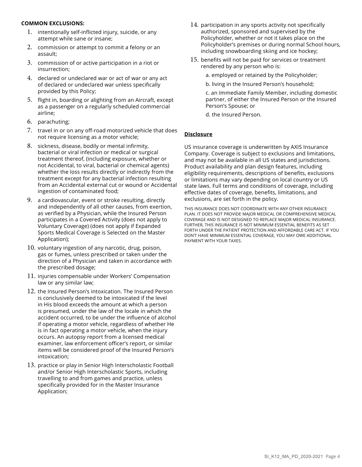#### **COMMON EXCLUSIONS:**

- 1. intentionally self-inflicted injury, suicide, or any attempt while sane or insane;
- 2. commission or attempt to commit a felony or an assault;
- 3. commission of or active participation in a riot or insurrection;
- 4. declared or undeclared war or act of war or any act of declared or undeclared war unless specifically provided by this Policy;
- 5. flight in, boarding or alighting from an Aircraft, except as a passenger on a regularly scheduled commercial airline;
- 6. parachuting;
- 7. travel in or on any off-road motorized vehicle that does not require licensing as a motor vehicle;
- 8. sickness, disease, bodily or mental infirmity, bacterial or viral infection or medical or surgical treatment thereof, (including exposure, whether or not Accidental, to viral, bacterial or chemical agents) whether the loss results directly or indirectly from the treatment except for any bacterial infection resulting from an Accidental external cut or wound or Accidental ingestion of contaminated food;
- 9. a cardiovascular, event or stroke resulting, directly and independently of all other causes, from exertion, as verified by a Physician, while the Insured Person participates in a Covered Activity (does not apply to Voluntary Coverage) (does not apply if Expanded Sports Medical Coverage is Selected on the Master Application);
- 10. voluntary ingestion of any narcotic, drug, poison, gas or fumes, unless prescribed or taken under the direction of a Physician and taken in accordance with the prescribed dosage;
- 11. injuries compensable under Workers' Compensation law or any similar law;
- 12. the Insured Person's intoxication. The Insured Person is conclusively deemed to be intoxicated if the level in His blood exceeds the amount at which a person is presumed, under the law of the locale in which the accident occurred, to be under the influence of alcohol if operating a motor vehicle, regardless of whether He is in fact operating a motor vehicle, when the injury occurs. An autopsy report from a licensed medical examiner, law enforcement officer's report, or similar items will be considered proof of the Insured Person's intoxication;
- 13. practice or play in Senior High Interscholastic Football and/or Senior High Interscholastic Sports, including travelling to and from games and practice, unless specifically provided for in the Master Insurance Application;
- 14. participation in any sports activity not specifically authorized, sponsored and supervised by the Policyholder, whether or not it takes place on the Policyholder's premises or during normal School hours, including snowboarding skiing and ice hockey;
- 15. benefits will not be paid for services or treatment rendered by any person who is:
	- a. employed or retained by the Policyholder;
	- b. living in the Insured Person's household;

c. an Immediate Family Member, including domestic partner, of either the Insured Person or the Insured Person's Spouse; or

d. the Insured Person.

#### **Disclosure**

US insurance coverage is underwritten by AXIS Insurance Company. Coverage is subject to exclusions and limitations, and may not be available in all US states and jurisdictions. Product availability and plan design features, including eligibility requirements, descriptions of benefits, exclusions or limitations may vary depending on local country or US state laws. Full terms and conditions of coverage, including effective dates of coverage, benefits, limitations, and exclusions, are set forth in the policy.

THIS INSURANCE DOES NOT COORDINATE WITH ANY OTHER INSURANCE PLAN. IT DOES NOT PROVIDE MAJOR MEDICAL OR COMPREHENSIVE MEDICAL COVERAGE AND IS NOT DESIGNED TO REPLACE MAJOR MEDICAL INSURANCE. FURTHER, THIS INSURANCE IS NOT MINIMUM ESSENTIAL BENEFITS AS SET FORTH UNDER THE PATIENT PROTECTION AND AFFORDABLE CARE ACT. IF YOU DON'T HAVE MINIMUM ESSENTIAL COVERAGE, YOU MAY OWE ADDITIONAL PAYMENT WITH YOUR TAXES.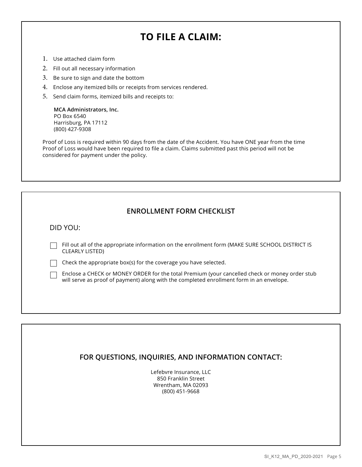### **TO FILE A CLAIM:**

- 1. Use attached claim form
- 2. Fill out all necessary information
- 3. Be sure to sign and date the bottom
- 4. Enclose any itemized bills or receipts from services rendered.
- 5. Send claim forms, itemized bills and receipts to:

**MCA Administrators, Inc.** PO Box 6540 Harrisburg, PA 17112 (800) 427-9308

Proof of Loss is required within 90 days from the date of the Accident. You have ONE year from the time Proof of Loss would have been required to file a claim. Claims submitted past this period will not be considered for payment under the policy.

#### **ENROLLMENT FORM CHECKLIST**

DID YOU:

Fill out all of the appropriate information on the enrollment form (MAKE SURE SCHOOL DISTRICT IS CLEARLY LISTED)

 $\Box$  Check the appropriate box(s) for the coverage you have selected.

Enclose a CHECK or MONEY ORDER for the total Premium (your cancelled check or money order stub will serve as proof of payment) along with the completed enrollment form in an envelope.

### **FOR QUESTIONS, INQUIRIES, AND INFORMATION CONTACT:**

Lefebvre Insurance, LLC 850 Franklin Street Wrentham, MA 02093 (800) 451-9668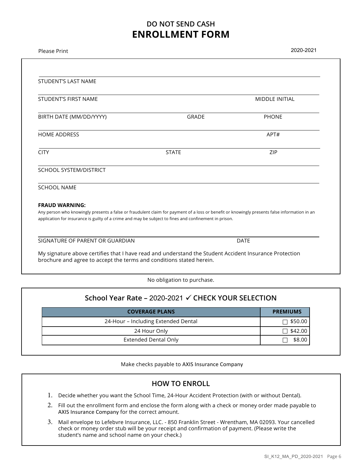### **DO NOT SEND CASH ENROLLMENT FORM**

| <b>Please Print</b>                                                                                                                                                                                                                                   |              | 2020-2021             |  |  |  |
|-------------------------------------------------------------------------------------------------------------------------------------------------------------------------------------------------------------------------------------------------------|--------------|-----------------------|--|--|--|
|                                                                                                                                                                                                                                                       |              |                       |  |  |  |
| STUDENT'S LAST NAME                                                                                                                                                                                                                                   |              |                       |  |  |  |
| STUDENT'S FIRST NAME                                                                                                                                                                                                                                  |              | <b>MIDDLE INITIAL</b> |  |  |  |
| BIRTH DATE (MM/DD/YYYY)                                                                                                                                                                                                                               | <b>GRADE</b> | <b>PHONE</b>          |  |  |  |
| <b>HOME ADDRESS</b>                                                                                                                                                                                                                                   |              | APT#                  |  |  |  |
| <b>CITY</b>                                                                                                                                                                                                                                           | <b>STATE</b> | ZIP                   |  |  |  |
| SCHOOL SYSTEM/DISTRICT                                                                                                                                                                                                                                |              |                       |  |  |  |
| <b>SCHOOL NAME</b>                                                                                                                                                                                                                                    |              |                       |  |  |  |
| <b>FRAUD WARNING:</b>                                                                                                                                                                                                                                 |              |                       |  |  |  |
| Any person who knowingly presents a false or fraudulent claim for payment of a loss or benefit or knowingly presents false information in an<br>application for insurance is guilty of a crime and may be subject to fines and confinement in prison. |              |                       |  |  |  |
| SIGNATURE OF PARENT OR GUARDIAN                                                                                                                                                                                                                       |              | <b>DATE</b>           |  |  |  |
| My signature above certifies that I have read and understand the Student Accident Insurance Protection<br>brochure and agree to accept the terms and conditions stated herein.                                                                        |              |                       |  |  |  |

No obligation to purchase.

| <b>COVERAGE PLANS</b>               | <b>PREMIUMS</b> |
|-------------------------------------|-----------------|
|                                     |                 |
| 24-Hour - Including Extended Dental | $\Box$ \$50.00  |
| 24 Hour Only                        | $\Box$ \$42.00  |
| Extended Dental Only                | \$8.00          |

Make checks payable to AXIS Insurance Company

### **HOW TO ENROLL**

- 1. Decide whether you want the School Time, 24-Hour Accident Protection (with or without Dental).
- 2. Fill out the enrollment form and enclose the form along with a check or money order made payable to AXIS Insurance Company for the correct amount.
- 3. Mail envelope to Lefebvre Insurance, LLC. 850 Franklin Street Wrentham, MA 02093. Your cancelled check or money order stub will be your receipt and confirmation of payment. (Please write the student's name and school name on your check.)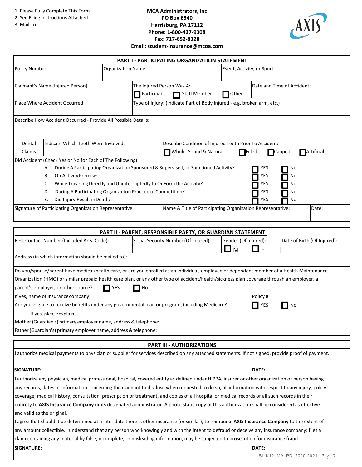1. Please Fully Complete This Form

- 2. See Filing Instructions Attached
- 3. Mail To

#### **MCA Administrators, Inc PO Box 6540 Harrisburg, PA 17112 Phone: 1-800-427-9308 Fax: 717-652-8328 Email: student-insurance@mcoa.com**



| PART I - PARTICIPATING ORGANIZATION STATEMENT                                                                |                                                                                                                                                                                                                                                                                                                                                                                                                                                                                                                                                                                                                                                                                                                                         |                           |    |                                                                                                    |                            |                                 |                             |
|--------------------------------------------------------------------------------------------------------------|-----------------------------------------------------------------------------------------------------------------------------------------------------------------------------------------------------------------------------------------------------------------------------------------------------------------------------------------------------------------------------------------------------------------------------------------------------------------------------------------------------------------------------------------------------------------------------------------------------------------------------------------------------------------------------------------------------------------------------------------|---------------------------|----|----------------------------------------------------------------------------------------------------|----------------------------|---------------------------------|-----------------------------|
| Policy Number:                                                                                               |                                                                                                                                                                                                                                                                                                                                                                                                                                                                                                                                                                                                                                                                                                                                         | <b>Organization Name:</b> |    |                                                                                                    | Event, Activity, or Sport: |                                 |                             |
| Claimant's Name (Injured Person)<br>The Injured Person Was A:<br><b>Staff Member</b><br>Other<br>Participant |                                                                                                                                                                                                                                                                                                                                                                                                                                                                                                                                                                                                                                                                                                                                         |                           |    | Date and Time of Accident:                                                                         |                            |                                 |                             |
| Type of Injury: (Indicate Part of Body Injured - e.g. broken arm, etc.)<br>Place Where Accident Occurred:    |                                                                                                                                                                                                                                                                                                                                                                                                                                                                                                                                                                                                                                                                                                                                         |                           |    |                                                                                                    |                            |                                 |                             |
|                                                                                                              | Describe How Accident Occurred - Provide All Possible Details:                                                                                                                                                                                                                                                                                                                                                                                                                                                                                                                                                                                                                                                                          |                           |    |                                                                                                    |                            |                                 |                             |
| Dental<br>Claims                                                                                             | Indicate Which Teeth Were Involved:                                                                                                                                                                                                                                                                                                                                                                                                                                                                                                                                                                                                                                                                                                     |                           |    | Describe Condition of Injured Teeth Prior To Accident:<br>Whole, Sound & Natural                   | $\Box$ Filled              |                                 | Artificial<br>Capped        |
|                                                                                                              | Did Accident (Check Yes or No for Each of The Following):<br>А.<br>On Activity Premises:<br>В.<br>While Traveling Directly and Uninterruptedly to Or Form the Activity?<br>C.<br>During A Participating Organization Practice or Competition?<br>D.<br>Did Injury Result in Death:<br>Е.                                                                                                                                                                                                                                                                                                                                                                                                                                                |                           |    | During A Participating Organization Sponsored & Supervised, or Sanctioned Activity?                |                            | YES<br>YES<br>YES<br>YES<br>YES | Νo<br>No<br>No<br>No<br>No  |
|                                                                                                              | Signature of Participating Organization Representative:                                                                                                                                                                                                                                                                                                                                                                                                                                                                                                                                                                                                                                                                                 |                           |    | Name & Title of Participating Organization Representative:                                         |                            |                                 | Date:                       |
|                                                                                                              |                                                                                                                                                                                                                                                                                                                                                                                                                                                                                                                                                                                                                                                                                                                                         |                           |    |                                                                                                    |                            |                                 |                             |
|                                                                                                              | Best Contact Number (Included Area Code):                                                                                                                                                                                                                                                                                                                                                                                                                                                                                                                                                                                                                                                                                               |                           |    | PART II - PARENT, RESPONSIBLE PARTY, OR GUARDIAN STATEMENT<br>Social Security Number (Of Injured): | Gender (Of Injured):<br>■м | l 1<br>$\overline{F}$           | Date of Birth (Of Injured): |
|                                                                                                              | Address (in which information should be mailed to):                                                                                                                                                                                                                                                                                                                                                                                                                                                                                                                                                                                                                                                                                     |                           |    |                                                                                                    |                            |                                 |                             |
|                                                                                                              | Do you/spouse/parent have medical/health care, or are you enrolled as an individual, employee or dependent member of a Health Maintenance<br>Organization (HMO) or similar prepaid health care plan, or any other type of accident/health/sickness plan coverage through an employer, a<br>parent's employer, or other source?<br>If yes, name of insurance company: _<br>Are you eligible to receive benefits under any governmental plan or program, including Medicare?<br>If yes, please explain:<br>Mother (Guardian's) primary employer name, address & telephone: Name and the control of the control of the control of the control of the control of the control of the control of the control of the control of the control of | <b>TYES</b>               | No |                                                                                                    |                            | Policy #:<br>YES                | No                          |
|                                                                                                              |                                                                                                                                                                                                                                                                                                                                                                                                                                                                                                                                                                                                                                                                                                                                         |                           |    |                                                                                                    |                            |                                 |                             |
|                                                                                                              |                                                                                                                                                                                                                                                                                                                                                                                                                                                                                                                                                                                                                                                                                                                                         |                           |    |                                                                                                    |                            |                                 |                             |
|                                                                                                              |                                                                                                                                                                                                                                                                                                                                                                                                                                                                                                                                                                                                                                                                                                                                         |                           |    | <b>PART III - AUTHORIZATIONS</b>                                                                   |                            |                                 |                             |
|                                                                                                              | I authorize medical payments to physician or supplier for services described on any attached statements. If not signed, provide proof of payment.                                                                                                                                                                                                                                                                                                                                                                                                                                                                                                                                                                                       |                           |    |                                                                                                    |                            |                                 |                             |
| SIGNATURE:                                                                                                   |                                                                                                                                                                                                                                                                                                                                                                                                                                                                                                                                                                                                                                                                                                                                         |                           |    |                                                                                                    |                            |                                 |                             |
| and valid as the original.                                                                                   | I authorize any physician, medical professional, hospital, covered entity as defined under HIPPA, insurer or other organization or person having<br>any records, dates or information concerning the claimant to disclose when requested to do so, all information with respect to any injury, policy<br>coverage, medical history, consultation, prescription or treatment, and copies of all hospital or medical records or all such records in their<br>entirety to AXIS Insurance Company or its designated administrator. A photo static copy of this authorization shall be considered as effective                                                                                                                               |                           |    |                                                                                                    |                            |                                 |                             |
|                                                                                                              | I agree that should it be determined at a later date there is other insurance (or similar), to reimburse AXIS Insurance Company to the extent of<br>any amount collectible. I understand that any person who knowingly and with the intent to defraud or deceive any insurance company; files a<br>claim containing any material by false, incomplete, or misleading information, may be subjected to prosecution for insurance fraud.                                                                                                                                                                                                                                                                                                  |                           |    |                                                                                                    |                            |                                 |                             |
| <b>SIGNATURE:</b><br>DATE:                                                                                   |                                                                                                                                                                                                                                                                                                                                                                                                                                                                                                                                                                                                                                                                                                                                         |                           |    |                                                                                                    |                            |                                 |                             |

SI\_K12\_MA\_PD\_2020-2021 Page 7